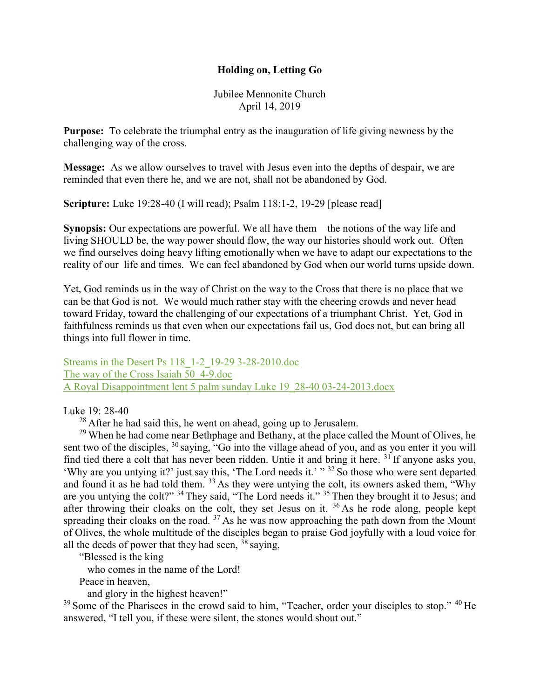## Holding on, Letting Go

Jubilee Mennonite Church April 14, 2019

Purpose: To celebrate the triumphal entry as the inauguration of life giving newness by the challenging way of the cross.

Message: As we allow ourselves to travel with Jesus even into the depths of despair, we are reminded that even there he, and we are not, shall not be abandoned by God.

Scripture: Luke 19:28-40 (I will read); Psalm 118:1-2, 19-29 [please read]

Synopsis: Our expectations are powerful. We all have them—the notions of the way life and living SHOULD be, the way power should flow, the way our histories should work out. Often we find ourselves doing heavy lifting emotionally when we have to adapt our expectations to the reality of our life and times. We can feel abandoned by God when our world turns upside down.

Yet, God reminds us in the way of Christ on the way to the Cross that there is no place that we can be that God is not. We would much rather stay with the cheering crowds and never head toward Friday, toward the challenging of our expectations of a triumphant Christ. Yet, God in faithfulness reminds us that even when our expectations fail us, God does not, but can bring all things into full flower in time.

Streams in the Desert Ps 118\_1-2\_19-29 3-28-2010.doc The way of the Cross Isaiah 50\_4-9.doc A Royal Disappointment lent 5 palm sunday Luke 19\_28-40 03-24-2013.docx

Luke 19: 28-40

 $^{28}$  After he had said this, he went on ahead, going up to Jerusalem.

<sup>29</sup> When he had come near Bethphage and Bethany, at the place called the Mount of Olives, he sent two of the disciples,  $30$  saying, "Go into the village ahead of you, and as you enter it you will find tied there a colt that has never been ridden. Untie it and bring it here. <sup>31</sup>If anyone asks you, 'Why are you untying it?' just say this, 'The Lord needs it.' " <sup>32</sup> So those who were sent departed and found it as he had told them. <sup>33</sup> As they were untying the colt, its owners asked them, "Why are you untying the colt?" <sup>34</sup> They said, "The Lord needs it." <sup>35</sup> Then they brought it to Jesus; and after throwing their cloaks on the colt, they set Jesus on it. <sup>36</sup> As he rode along, people kept spreading their cloaks on the road.  $37$  As he was now approaching the path down from the Mount of Olives, the whole multitude of the disciples began to praise God joyfully with a loud voice for all the deeds of power that they had seen,  $\frac{3}{8}$  saying,

"Blessed is the king

who comes in the name of the Lord!

Peace in heaven,

and glory in the highest heaven!"

 $39$  Some of the Pharisees in the crowd said to him, "Teacher, order your disciples to stop."  $40$  He answered, "I tell you, if these were silent, the stones would shout out."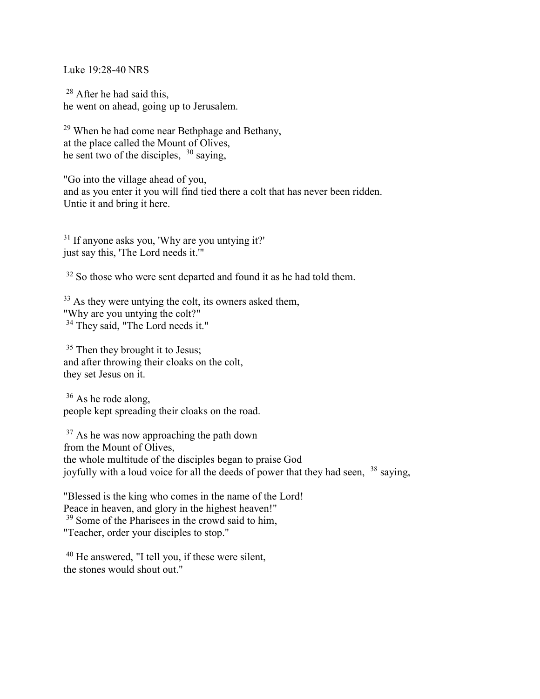Luke 19:28-40 NRS

<sup>28</sup> After he had said this, he went on ahead, going up to Jerusalem.

<sup>29</sup> When he had come near Bethphage and Bethany, at the place called the Mount of Olives, he sent two of the disciples,  $30$  saying,

"Go into the village ahead of you, and as you enter it you will find tied there a colt that has never been ridden. Untie it and bring it here.

<sup>31</sup> If anyone asks you, 'Why are you untying it?' just say this, 'The Lord needs it.'"

 $32$  So those who were sent departed and found it as he had told them.

<sup>33</sup> As they were untying the colt, its owners asked them, "Why are you untying the colt?" <sup>34</sup> They said, "The Lord needs it."

<sup>35</sup> Then they brought it to Jesus; and after throwing their cloaks on the colt, they set Jesus on it.

<sup>36</sup> As he rode along, people kept spreading their cloaks on the road.

<sup>37</sup> As he was now approaching the path down from the Mount of Olives, the whole multitude of the disciples began to praise God joyfully with a loud voice for all the deeds of power that they had seen, <sup>38</sup> saying,

"Blessed is the king who comes in the name of the Lord! Peace in heaven, and glory in the highest heaven!" <sup>39</sup> Some of the Pharisees in the crowd said to him, "Teacher, order your disciples to stop."

<sup>40</sup> He answered, "I tell you, if these were silent, the stones would shout out."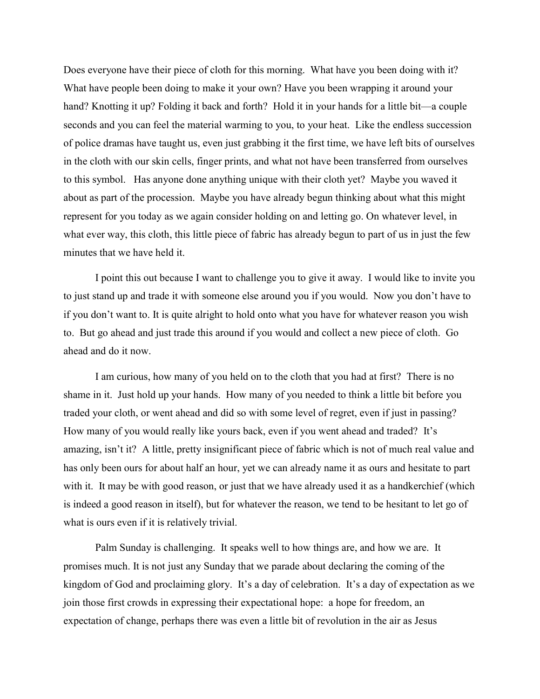Does everyone have their piece of cloth for this morning. What have you been doing with it? What have people been doing to make it your own? Have you been wrapping it around your hand? Knotting it up? Folding it back and forth? Hold it in your hands for a little bit—a couple seconds and you can feel the material warming to you, to your heat. Like the endless succession of police dramas have taught us, even just grabbing it the first time, we have left bits of ourselves in the cloth with our skin cells, finger prints, and what not have been transferred from ourselves to this symbol. Has anyone done anything unique with their cloth yet? Maybe you waved it about as part of the procession. Maybe you have already begun thinking about what this might represent for you today as we again consider holding on and letting go. On whatever level, in what ever way, this cloth, this little piece of fabric has already begun to part of us in just the few minutes that we have held it.

 I point this out because I want to challenge you to give it away. I would like to invite you to just stand up and trade it with someone else around you if you would. Now you don't have to if you don't want to. It is quite alright to hold onto what you have for whatever reason you wish to. But go ahead and just trade this around if you would and collect a new piece of cloth. Go ahead and do it now.

 I am curious, how many of you held on to the cloth that you had at first? There is no shame in it. Just hold up your hands. How many of you needed to think a little bit before you traded your cloth, or went ahead and did so with some level of regret, even if just in passing? How many of you would really like yours back, even if you went ahead and traded? It's amazing, isn't it? A little, pretty insignificant piece of fabric which is not of much real value and has only been ours for about half an hour, yet we can already name it as ours and hesitate to part with it. It may be with good reason, or just that we have already used it as a handkerchief (which is indeed a good reason in itself), but for whatever the reason, we tend to be hesitant to let go of what is ours even if it is relatively trivial.

 Palm Sunday is challenging. It speaks well to how things are, and how we are. It promises much. It is not just any Sunday that we parade about declaring the coming of the kingdom of God and proclaiming glory. It's a day of celebration. It's a day of expectation as we join those first crowds in expressing their expectational hope: a hope for freedom, an expectation of change, perhaps there was even a little bit of revolution in the air as Jesus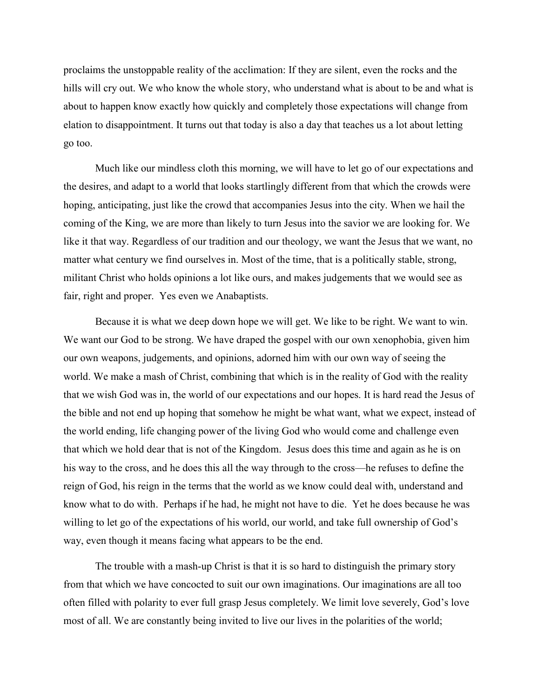proclaims the unstoppable reality of the acclimation: If they are silent, even the rocks and the hills will cry out. We who know the whole story, who understand what is about to be and what is about to happen know exactly how quickly and completely those expectations will change from elation to disappointment. It turns out that today is also a day that teaches us a lot about letting go too.

Much like our mindless cloth this morning, we will have to let go of our expectations and the desires, and adapt to a world that looks startlingly different from that which the crowds were hoping, anticipating, just like the crowd that accompanies Jesus into the city. When we hail the coming of the King, we are more than likely to turn Jesus into the savior we are looking for. We like it that way. Regardless of our tradition and our theology, we want the Jesus that we want, no matter what century we find ourselves in. Most of the time, that is a politically stable, strong, militant Christ who holds opinions a lot like ours, and makes judgements that we would see as fair, right and proper. Yes even we Anabaptists.

Because it is what we deep down hope we will get. We like to be right. We want to win. We want our God to be strong. We have draped the gospel with our own xenophobia, given him our own weapons, judgements, and opinions, adorned him with our own way of seeing the world. We make a mash of Christ, combining that which is in the reality of God with the reality that we wish God was in, the world of our expectations and our hopes. It is hard read the Jesus of the bible and not end up hoping that somehow he might be what want, what we expect, instead of the world ending, life changing power of the living God who would come and challenge even that which we hold dear that is not of the Kingdom. Jesus does this time and again as he is on his way to the cross, and he does this all the way through to the cross—he refuses to define the reign of God, his reign in the terms that the world as we know could deal with, understand and know what to do with. Perhaps if he had, he might not have to die. Yet he does because he was willing to let go of the expectations of his world, our world, and take full ownership of God's way, even though it means facing what appears to be the end.

The trouble with a mash-up Christ is that it is so hard to distinguish the primary story from that which we have concocted to suit our own imaginations. Our imaginations are all too often filled with polarity to ever full grasp Jesus completely. We limit love severely, God's love most of all. We are constantly being invited to live our lives in the polarities of the world;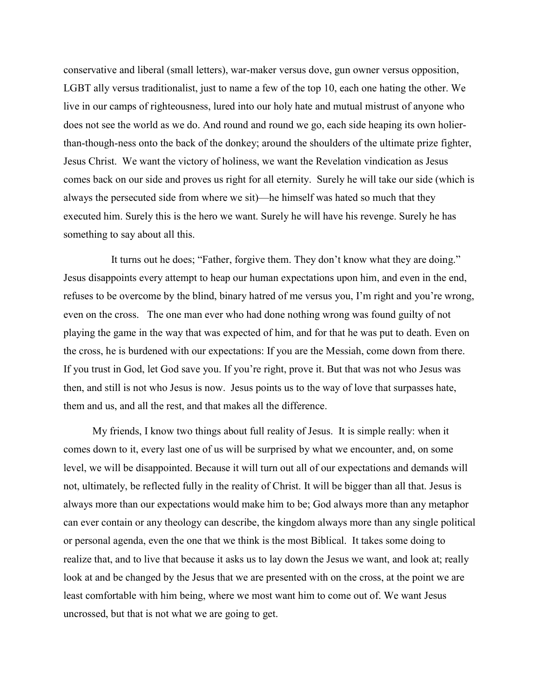conservative and liberal (small letters), war-maker versus dove, gun owner versus opposition, LGBT ally versus traditionalist, just to name a few of the top 10, each one hating the other. We live in our camps of righteousness, lured into our holy hate and mutual mistrust of anyone who does not see the world as we do. And round and round we go, each side heaping its own holierthan-though-ness onto the back of the donkey; around the shoulders of the ultimate prize fighter, Jesus Christ. We want the victory of holiness, we want the Revelation vindication as Jesus comes back on our side and proves us right for all eternity. Surely he will take our side (which is always the persecuted side from where we sit)—he himself was hated so much that they executed him. Surely this is the hero we want. Surely he will have his revenge. Surely he has something to say about all this.

 It turns out he does; "Father, forgive them. They don't know what they are doing." Jesus disappoints every attempt to heap our human expectations upon him, and even in the end, refuses to be overcome by the blind, binary hatred of me versus you, I'm right and you're wrong, even on the cross. The one man ever who had done nothing wrong was found guilty of not playing the game in the way that was expected of him, and for that he was put to death. Even on the cross, he is burdened with our expectations: If you are the Messiah, come down from there. If you trust in God, let God save you. If you're right, prove it. But that was not who Jesus was then, and still is not who Jesus is now. Jesus points us to the way of love that surpasses hate, them and us, and all the rest, and that makes all the difference.

 My friends, I know two things about full reality of Jesus. It is simple really: when it comes down to it, every last one of us will be surprised by what we encounter, and, on some level, we will be disappointed. Because it will turn out all of our expectations and demands will not, ultimately, be reflected fully in the reality of Christ. It will be bigger than all that. Jesus is always more than our expectations would make him to be; God always more than any metaphor can ever contain or any theology can describe, the kingdom always more than any single political or personal agenda, even the one that we think is the most Biblical. It takes some doing to realize that, and to live that because it asks us to lay down the Jesus we want, and look at; really look at and be changed by the Jesus that we are presented with on the cross, at the point we are least comfortable with him being, where we most want him to come out of. We want Jesus uncrossed, but that is not what we are going to get.